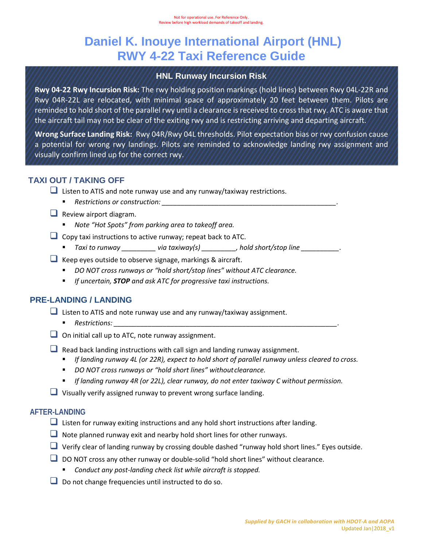# **Daniel K. Inouye International Airport (HNL) RWY 4-22 Taxi Reference Guide**

## **HNL Runway Incursion Risk**

**Rwy 04-22 Rwy Incursion Risk:** The rwy holding position markings (hold lines) between Rwy 04L-22R and Rwy 04R-22L are relocated, with minimal space of approximately 20 feet between them. Pilots are reminded to hold short of the parallel rwy until a clearance is received to cross that rwy. ATC is aware that the aircraft tail may not be clear of the exiting rwy and is restricting arriving and departing aircraft.

**Wrong Surface Landing Risk:** Rwy 04R/Rwy 04L thresholds. Pilot expectation bias or rwy confusion cause a potential for wrong rwy landings. Pilots are reminded to acknowledge landing rwy assignment and visually confirm lined up for the correct rwy.

# **TAXI OUT / TAKING OFF**

- $\Box$  Listen to ATIS and note runway use and any runway/taxiway restrictions.
	- **Restrictions or construction:**  $\blacksquare$
- $\Box$  Review airport diagram.
	- *Note "Hot Spots" from parking area to takeoff area.*
- $\Box$  Copy taxi instructions to active runway; repeat back to ATC.
	- *Taxi to runway \_\_\_\_\_\_\_\_\_ via taxiway(s) \_\_\_\_\_\_\_\_\_, hold short/stop line \_\_\_\_\_\_\_\_\_\_.*
- $\Box$  Keep eyes outside to observe signage, markings & aircraft.
	- *DO NOT cross runways or "hold short/stop lines" without ATC clearance.*
	- *If uncertain, STOP and ask ATC for progressive taxi instructions.*

## **PRE-LANDING / LANDING**

 $\Box$  Listen to ATIS and note runway use and any runway/taxiway assignment.

- *Restrictions: \_\_\_\_\_\_\_\_\_\_\_\_\_\_\_\_\_\_\_\_\_\_\_\_\_\_\_\_\_\_\_\_\_\_\_\_\_\_\_\_\_\_\_\_\_\_\_\_\_\_\_\_\_\_\_\_\_\_\_.*
- $\Box$  On initial call up to ATC, note runway assignment.
- $\Box$  Read back landing instructions with call sign and landing runway assignment.
	- **If landing runway 4L (or 22R), expect to hold short of parallel runway unless cleared to cross.**
	- *DO NOT cross runways or "hold short lines" withoutclearance.*
	- *If landing runway 4R (or 22L), clear runway, do not enter taxiway C without permission.*
- $\Box$  Visually verify assigned runway to prevent wrong surface landing.

#### **AFTER-LANDING**

- $\Box$  Listen for runway exiting instructions and any hold short instructions after landing.
- $\Box$  Note planned runway exit and nearby hold short lines for other runways.
- Verify clear of landing runway by crossing double dashed "runway hold short lines." Eyes outside.
- $\Box$  DO NOT cross any other runway or double-solid "hold short lines" without clearance.
	- *Conduct any post-landing check list while aircraft is stopped.*
- Do not change frequencies until instructed to do so.